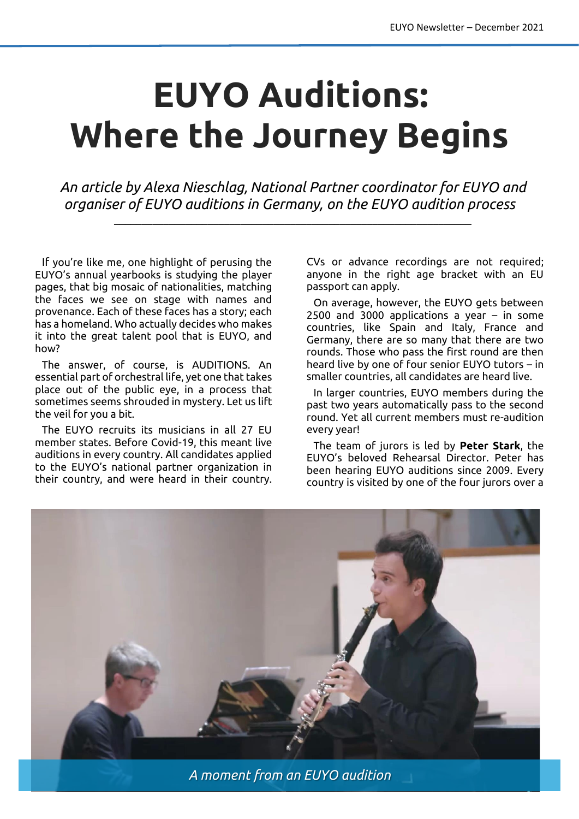## **EUYO Auditions: Where the Journey Begins**

*An article by Alexa Nieschlag,National Partner coordinator for EUYO and organiser of EUYO auditions in Germany, on the EUYO audition process*

\_\_\_\_\_\_\_\_\_\_\_\_\_\_\_\_\_\_\_\_\_\_\_\_\_\_\_\_\_\_\_\_\_\_\_\_\_\_\_\_\_\_\_\_\_\_\_\_\_\_\_\_\_\_\_\_\_\_\_\_\_\_\_\_\_

If you're like me, one highlight of perusing the EUYO's annual yearbooks is studying the player pages, that big mosaic of nationalities, matching the faces we see on stage with names and provenance. Each of these faces has a story; each has a homeland. Who actually decides who makes it into the great talent pool that is EUYO, and how?

The answer, of course, is AUDITIONS. An essential part of orchestral life, yet one that takes place out of the public eye, in a process that sometimes seems shrouded in mystery. Let us lift the veil for you a bit.

The EUYO recruits its musicians in all 27 EU member states. Before Covid-19, this meant live auditions in every country. All candidates applied to the EUYO's national partner organization in their country, and were heard in their country.

CVs or advance recordings are not required; anyone in the right age bracket with an EU passport can apply.

On average, however, the EUYO gets between 2500 and 3000 applications a year – in some countries, like Spain and Italy, France and Germany, there are so many that there are two rounds. Those who pass the first round are then heard live by one of four senior EUYO tutors – in smaller countries, all candidates are heard live.

In larger countries, EUYO members during the past two years automatically pass to the second round. Yet all current members must re-audition every year!

The team of jurors is led by **Peter Stark**, the EUYO's beloved Rehearsal Director. Peter has been hearing EUYO auditions since 2009. Every country is visited by one of the four jurors over a